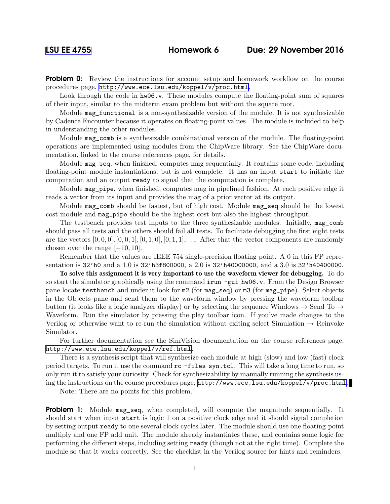**Problem 0:** Review the instructions for account setup and homework workflow on the course procedures page, <http://www.ece.lsu.edu/koppel/v/proc.html>.

Look through the code in hw06.v. These modules compute the floating-point sum of squares of their input, similar to the midterm exam problem but without the square root.

Module mag\_functional is a non-synthesizable version of the module. It is not synthesizable by Cadence Encounter because it operates on floating-point values. The module is included to help in understanding the other modules.

Module mag\_comb is a synthesizable combinational version of the module. The floating-point operations are implemented using modules from the ChipWare library. See the ChipWare documentation, linked to the course references page, for details.

Module mag\_seq, when finished, computes mag sequentially. It contains some code, including floating-point module instantiations, but is not complete. It has an input start to initiate the computation and an output ready to signal that the computation is complete.

Module mag\_pipe, when finished, computes mag in pipelined fashion. At each positive edge it reads a vector from its input and provides the mag of a prior vector at its output.

Module mag\_comb should be fastest, but of high cost. Module mag\_seq should be the lowest cost module and mag\_pipe should be the highest cost but also the highest throughput.

The testbench provides test inputs to the three synthesizable modules. Initially, mag\_comb should pass all tests and the others should fail all tests. To facilitate debugging the first eight tests are the vectors  $[0, 0, 0]$ ,  $[0, 0, 1]$ ,  $[0, 1, 0]$ ,  $[0, 1, 1]$ , ... After that the vector components are randomly chosen over the range  $[-10, 10]$ .

Remember that the values are IEEE 754 single-precision floating point. A 0 in this FP representation is 32'h0 and a 1.0 is 32'h3f800000, a 2.0 is 32'h40000000, and a 3.0 is 32'h40400000.

To solve this assignment it is very important to use the waveform viewer for debugging. To do so start the simulator graphically using the command irun  $-\text{gui}\ \text{hw06.v.}$  From the Design Browser pane locate testbench and under it look for m2 (for mag\_seq) or m3 (for mag\_pipe). Select objects in the Objects pane and send them to the waveform window by pressing the waveform toolbar button (it looks like a logic analyzer display) or by selecting the sequence Windows  $\rightarrow$  Send To  $\rightarrow$ Waveform. Run the simulator by pressing the play toolbar icon. If you've made changes to the Verilog or otherwise want to re-run the simulation without exiting select Simulation  $\rightarrow$  Reinvoke Simulator.

For further documentation see the SimVision documentation on the course references page, <http://www.ece.lsu.edu/koppel/v/ref.html>.

There is a synthesis script that will synthesize each module at high (slow) and low (fast) clock period targets. To run it use the command rc -files syn.tcl. This will take a long time to run, so only run it to satisfy your curiosity. Check for synthesizability by manually running the synthesis using the instructions on the course procedures page, <http://www.ece.lsu.edu/koppel/v/proc.html>.

Note: There are no points for this problem.

**Problem 1:** Module mag\_seq, when completed, will compute the magnitude sequentially. It should start when input start is logic 1 on a positive clock edge and it should signal completion by setting output ready to one several clock cycles later. The module should use one floating-point multiply and one FP add unit. The module already instantiates these, and contains some logic for performing the different steps, including setting ready (though not at the right time). Complete the module so that it works correctly. See the checklist in the Verilog source for hints and reminders.